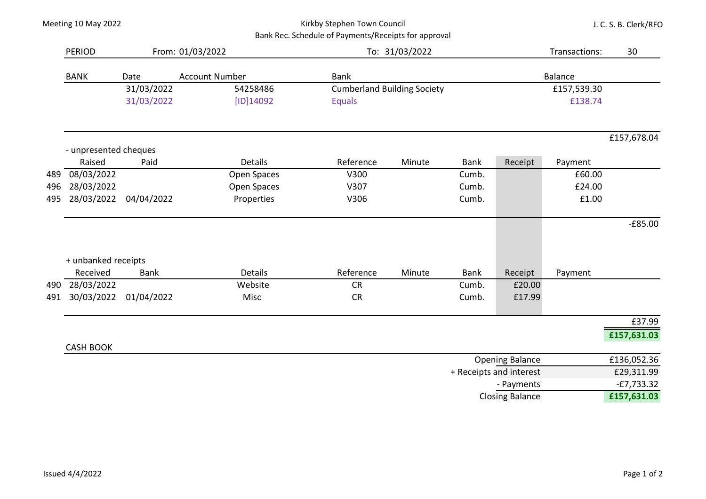## Kirkby Stephen Town Council Bank Rec. Schedule of Payments/Receipts for approval

J. C. S. B. Clerk/RFO

|     | <b>PERIOD</b>         |             | From: 01/03/2022      |                                    | To: 31/03/2022 |             |                         |                | 30           |  |
|-----|-----------------------|-------------|-----------------------|------------------------------------|----------------|-------------|-------------------------|----------------|--------------|--|
|     | <b>BANK</b>           | Date        | <b>Account Number</b> | <b>Bank</b>                        |                |             |                         | <b>Balance</b> |              |  |
|     | 31/03/2022            |             | 54258486              | <b>Cumberland Building Society</b> |                |             |                         | £157,539.30    |              |  |
|     |                       | 31/03/2022  | $[ID]$ 14092          | <b>Equals</b>                      |                |             |                         | £138.74        |              |  |
|     |                       |             |                       |                                    |                |             |                         |                | £157,678.04  |  |
|     | - unpresented cheques |             |                       |                                    |                |             |                         |                |              |  |
|     | Raised                | Paid        | <b>Details</b>        | Reference                          | Minute         | <b>Bank</b> | Receipt                 | Payment        |              |  |
| 489 | 08/03/2022            |             | Open Spaces           | V300                               |                | Cumb.       |                         | £60.00         |              |  |
| 496 | 28/03/2022            |             | Open Spaces           | V307                               |                | Cumb.       |                         | £24.00         |              |  |
| 495 | 28/03/2022            | 04/04/2022  | Properties            | V306                               |                | Cumb.       |                         | £1.00          |              |  |
|     |                       |             |                       |                                    |                |             |                         |                | $-E85.00$    |  |
|     | + unbanked receipts   |             |                       |                                    |                |             |                         |                |              |  |
|     | Received              | <b>Bank</b> | <b>Details</b>        | Reference                          | Minute         | <b>Bank</b> | Receipt                 | Payment        |              |  |
| 490 | 28/03/2022            |             | Website               | <b>CR</b>                          |                | Cumb.       | £20.00                  |                |              |  |
| 491 | 30/03/2022            | 01/04/2022  | Misc                  | <b>CR</b>                          |                | Cumb.       | £17.99                  |                |              |  |
|     |                       |             |                       |                                    |                |             |                         |                | £37.99       |  |
|     |                       |             |                       |                                    |                |             |                         |                | £157,631.03  |  |
|     | <b>CASH BOOK</b>      |             |                       |                                    |                |             | <b>Opening Balance</b>  |                | £136,052.36  |  |
|     |                       |             |                       |                                    |                |             | + Receipts and interest |                | £29,311.99   |  |
|     |                       |             |                       |                                    |                |             | - Payments              |                | $-E7,733.32$ |  |

Closing Balance **£157,631.03**